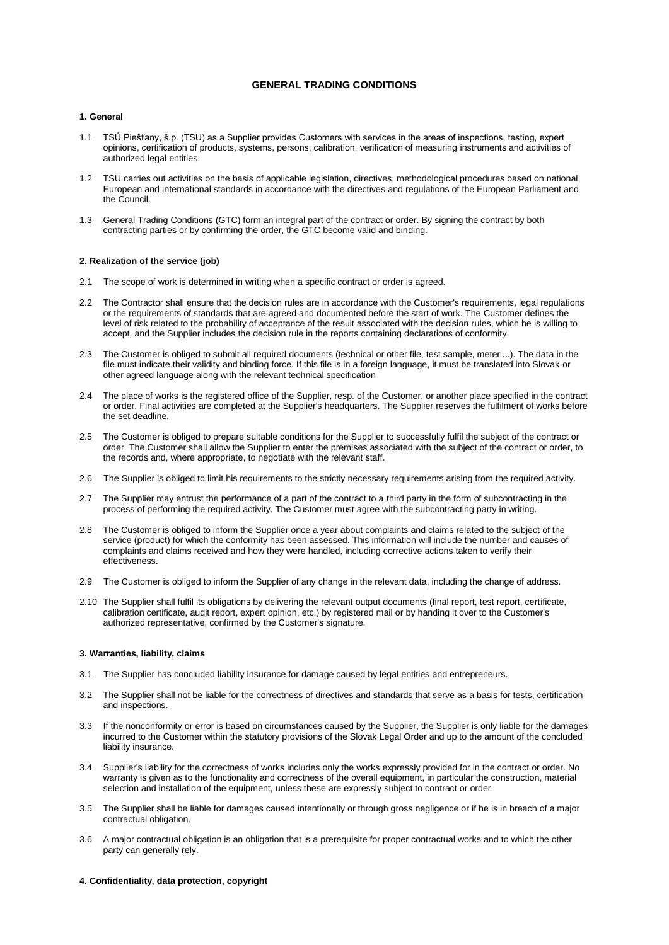# **GENERAL TRADING CONDITIONS**

## **1. General**

- 1.1 TSÚ Piešťany, š.p. (TSU) as a Supplier provides Customers with services in the areas of inspections, testing, expert opinions, certification of products, systems, persons, calibration, verification of measuring instruments and activities of authorized legal entities.
- 1.2 TSU carries out activities on the basis of applicable legislation, directives, methodological procedures based on national, European and international standards in accordance with the directives and regulations of the European Parliament and the Council.
- 1.3 General Trading Conditions (GTC) form an integral part of the contract or order. By signing the contract by both contracting parties or by confirming the order, the GTC become valid and binding.

### **2. Realization of the service (job)**

- 2.1 The scope of work is determined in writing when a specific contract or order is agreed.
- 2.2 The Contractor shall ensure that the decision rules are in accordance with the Customer's requirements, legal regulations or the requirements of standards that are agreed and documented before the start of work. The Customer defines the level of risk related to the probability of acceptance of the result associated with the decision rules, which he is willing to accept, and the Supplier includes the decision rule in the reports containing declarations of conformity.
- 2.3 The Customer is obliged to submit all required documents (technical or other file, test sample, meter ...). The data in the file must indicate their validity and binding force. If this file is in a foreign language, it must be translated into Slovak or other agreed language along with the relevant technical specification
- 2.4 The place of works is the registered office of the Supplier, resp. of the Customer, or another place specified in the contract or order. Final activities are completed at the Supplier's headquarters. The Supplier reserves the fulfilment of works before the set deadline.
- 2.5 The Customer is obliged to prepare suitable conditions for the Supplier to successfully fulfil the subject of the contract or order. The Customer shall allow the Supplier to enter the premises associated with the subject of the contract or order, to the records and, where appropriate, to negotiate with the relevant staff.
- 2.6 The Supplier is obliged to limit his requirements to the strictly necessary requirements arising from the required activity.
- 2.7 The Supplier may entrust the performance of a part of the contract to a third party in the form of subcontracting in the process of performing the required activity. The Customer must agree with the subcontracting party in writing.
- 2.8 The Customer is obliged to inform the Supplier once a year about complaints and claims related to the subject of the service (product) for which the conformity has been assessed. This information will include the number and causes of complaints and claims received and how they were handled, including corrective actions taken to verify their effectiveness.
- 2.9 The Customer is obliged to inform the Supplier of any change in the relevant data, including the change of address.
- 2.10 The Supplier shall fulfil its obligations by delivering the relevant output documents (final report, test report, certificate, calibration certificate, audit report, expert opinion, etc.) by registered mail or by handing it over to the Customer's authorized representative, confirmed by the Customer's signature.

### **3. Warranties, liability, claims**

- 3.1 The Supplier has concluded liability insurance for damage caused by legal entities and entrepreneurs.
- 3.2 The Supplier shall not be liable for the correctness of directives and standards that serve as a basis for tests, certification and inspections.
- 3.3 If the nonconformity or error is based on circumstances caused by the Supplier, the Supplier is only liable for the damages incurred to the Customer within the statutory provisions of the Slovak Legal Order and up to the amount of the concluded liability insurance.
- 3.4 Supplier's liability for the correctness of works includes only the works expressly provided for in the contract or order. No warranty is given as to the functionality and correctness of the overall equipment, in particular the construction, material selection and installation of the equipment, unless these are expressly subject to contract or order.
- 3.5 The Supplier shall be liable for damages caused intentionally or through gross negligence or if he is in breach of a major contractual obligation.
- 3.6 A major contractual obligation is an obligation that is a prerequisite for proper contractual works and to which the other party can generally rely.

## **4. Confidentiality, data protection, copyright**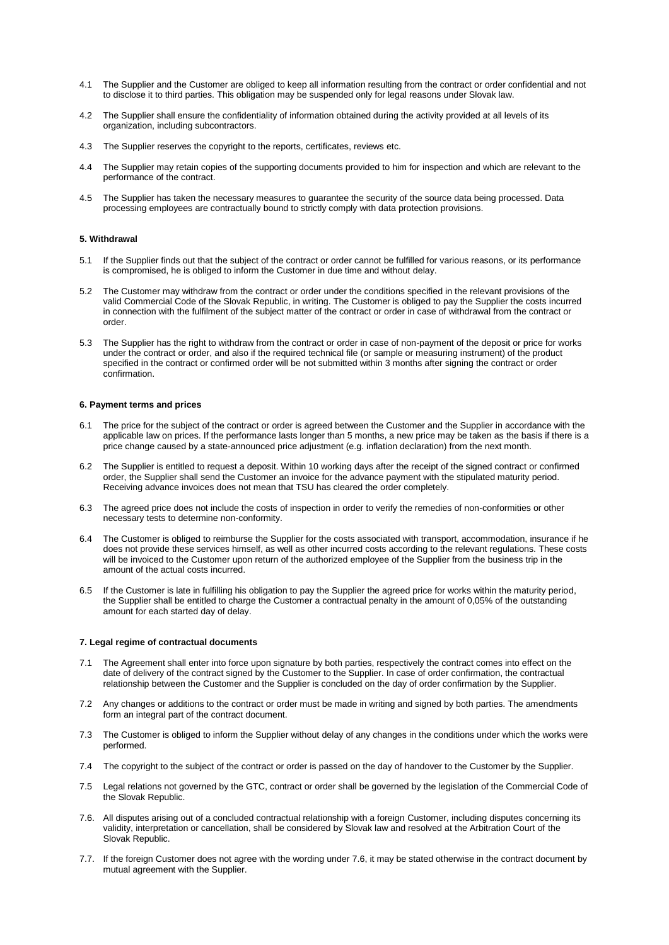- 4.1 The Supplier and the Customer are obliged to keep all information resulting from the contract or order confidential and not to disclose it to third parties. This obligation may be suspended only for legal reasons under Slovak law.
- 4.2 The Supplier shall ensure the confidentiality of information obtained during the activity provided at all levels of its organization, including subcontractors.
- 4.3 The Supplier reserves the copyright to the reports, certificates, reviews etc.
- 4.4 The Supplier may retain copies of the supporting documents provided to him for inspection and which are relevant to the performance of the contract.
- 4.5 The Supplier has taken the necessary measures to guarantee the security of the source data being processed. Data processing employees are contractually bound to strictly comply with data protection provisions.

# **5. Withdrawal**

- 5.1 If the Supplier finds out that the subject of the contract or order cannot be fulfilled for various reasons, or its performance is compromised, he is obliged to inform the Customer in due time and without delay.
- 5.2 The Customer may withdraw from the contract or order under the conditions specified in the relevant provisions of the valid Commercial Code of the Slovak Republic, in writing. The Customer is obliged to pay the Supplier the costs incurred in connection with the fulfilment of the subject matter of the contract or order in case of withdrawal from the contract or order.
- 5.3 The Supplier has the right to withdraw from the contract or order in case of non-payment of the deposit or price for works under the contract or order, and also if the required technical file (or sample or measuring instrument) of the product specified in the contract or confirmed order will be not submitted within 3 months after signing the contract or order confirmation.

### **6. Payment terms and prices**

- The price for the subject of the contract or order is agreed between the Customer and the Supplier in accordance with the applicable law on prices. If the performance lasts longer than 5 months, a new price may be taken as the basis if there is a price change caused by a state-announced price adjustment (e.g. inflation declaration) from the next month.
- 6.2 The Supplier is entitled to request a deposit. Within 10 working days after the receipt of the signed contract or confirmed order, the Supplier shall send the Customer an invoice for the advance payment with the stipulated maturity period. Receiving advance invoices does not mean that TSU has cleared the order completely.
- 6.3 The agreed price does not include the costs of inspection in order to verify the remedies of non-conformities or other necessary tests to determine non-conformity.
- 6.4 The Customer is obliged to reimburse the Supplier for the costs associated with transport, accommodation, insurance if he does not provide these services himself, as well as other incurred costs according to the relevant regulations. These costs will be invoiced to the Customer upon return of the authorized employee of the Supplier from the business trip in the amount of the actual costs incurred.
- 6.5 If the Customer is late in fulfilling his obligation to pay the Supplier the agreed price for works within the maturity period, the Supplier shall be entitled to charge the Customer a contractual penalty in the amount of 0,05% of the outstanding amount for each started day of delay.

### **7. Legal regime of contractual documents**

- 7.1 The Agreement shall enter into force upon signature by both parties, respectively the contract comes into effect on the date of delivery of the contract signed by the Customer to the Supplier. In case of order confirmation, the contractual relationship between the Customer and the Supplier is concluded on the day of order confirmation by the Supplier.
- 7.2 Any changes or additions to the contract or order must be made in writing and signed by both parties. The amendments form an integral part of the contract document.
- 7.3 The Customer is obliged to inform the Supplier without delay of any changes in the conditions under which the works were performed.
- 7.4 The copyright to the subject of the contract or order is passed on the day of handover to the Customer by the Supplier.
- 7.5 Legal relations not governed by the GTC, contract or order shall be governed by the legislation of the Commercial Code of the Slovak Republic.
- 7.6. All disputes arising out of a concluded contractual relationship with a foreign Customer, including disputes concerning its validity, interpretation or cancellation, shall be considered by Slovak law and resolved at the Arbitration Court of the Slovak Republic.
- 7.7. If the foreign Customer does not agree with the wording under 7.6, it may be stated otherwise in the contract document by mutual agreement with the Supplier.